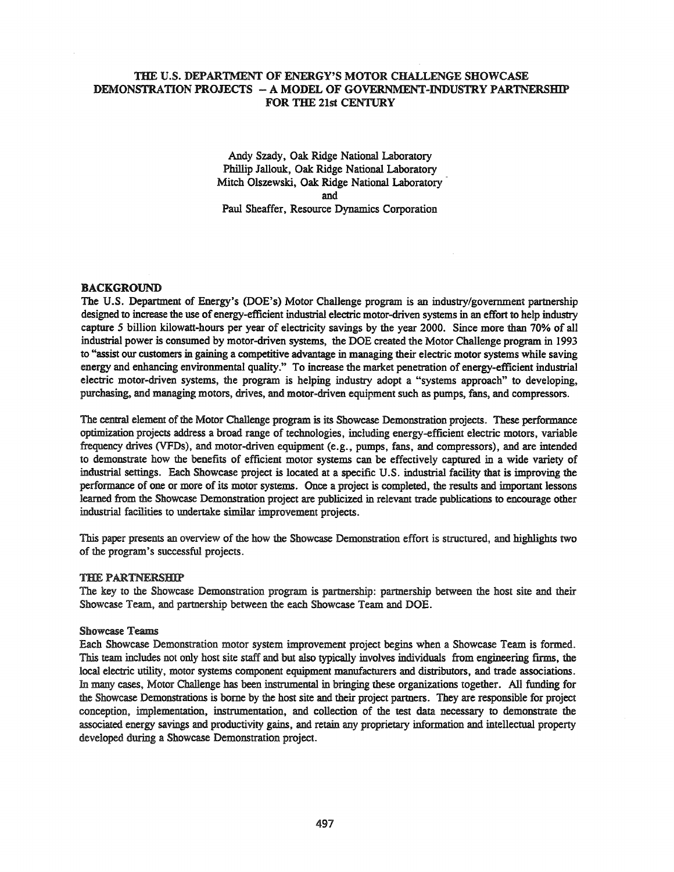# THE U.S. DEPARTMENT OF ENERGY'S MOTOR CHALLENGE SHOWCASE DEMONSTRATION PROJECTS - A MODEL OF GOVERNMENT-INDUSTRY PARTNERSHIP FOR THE 21st CENTURY

Andy Szady, Oak Ridge National Laboratory Phillip Jallouk, Oak Ridge National Laboratory Mitch Olszewski, Oak Ridge National Laboratory and Paul Sheaffer, Resource Dynamics Corporation

# BACKGROUND

The U.S. Department of Energy's (DOE's) Motor Challenge program is an industry/government partnership designed to increase the use of energy-efficient industrial electric motor-driven systems in an effort to help industry capture 5 billion kilowatt-hours per year of electricity savings by the year 2000. Since more than 70% of all industrial power is consumed by motor-driven systems, the DOE created the Motor Challenge program in 1993 to "assist our customers in gaining a competitive advantage in managing their electric motor systems while saving energy and enhancing environmental quality." To increase the market penetration of energy-efficient industrial electric motor-driven systems, the program is helping industry adopt a "systems approach" to developing, purchasing, and managing motors, drives, and motor-driven equipment such as pumps, fans, and compressors.

The central element of the Motor Challenge program is its Showcase Demonstration projects. These performance optimization projects address a broad range of technologies, including energy-efficient electric motors, variable frequency drives (VFDs), and motor-driven equipment (e.g., pumps, fans, and compressors), and are intended to demonstrate how the benefits of efficient motor systems can be effectively captured in a wide variety of industrial settings. Each Showcase project is located at a specific U.S. industrial facility that is improving the performance of one or more of its motor systems. Once a project is completed, the results and important lessons learned from the Showcase Demonstration project are publicized in relevant trade publications to encourage other industrial facilities to undertake similar improvement projects.

This paper presents an overview of the how the Showcase Demonstration effort is structured, and highlights two of the program's successful projects.

### THE PARTNERSHIP

The key to the Showcase Demonstration program is partnership: partnership between the host site and their Showcase Team, and partnership between the each Showcase Team and DOE.

### Showcase Teams

Each Showcase Demonstration motor system improvement project begins when a Showcase Team is formed. This team includes not only host site staff and but also typically involves individuals from engineering firms, the local electric utility, motor systems component equipment manufacturers and distributors, and trade associations. In many cases, Motor Challenge has been instrumental in bringing these organizations together. All funding for the Showcase Demonstrations is borne by the host site and their project partners. They are responsible for project conception, implementation, instrumentation, and collection of the test data necessary to demonstrate the associated energy savings and productivity gains, and retain any proprietary information and intellectual property developed during a Showcase Demonstration project.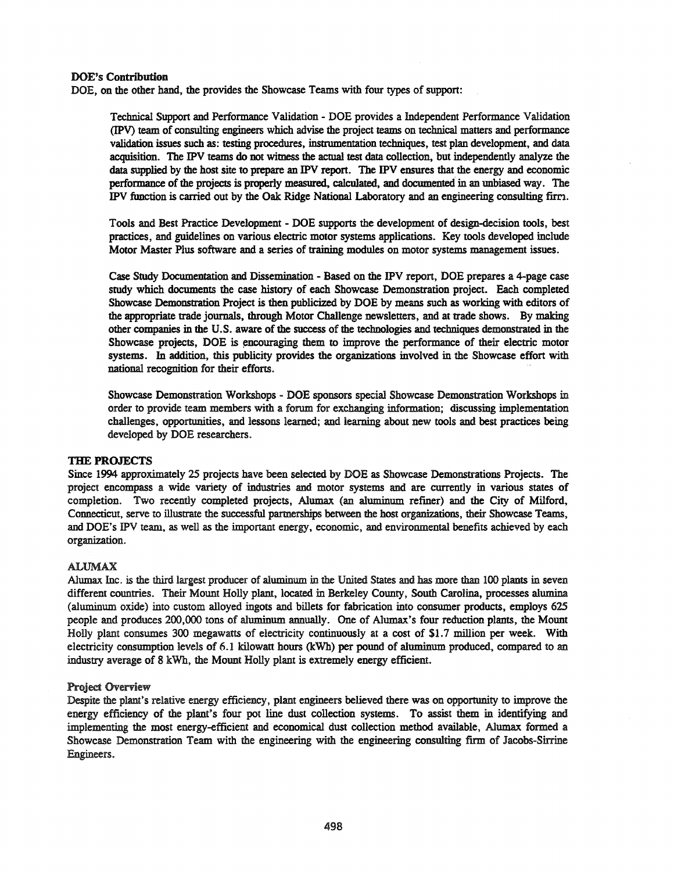### DOE's Contribution

DOE, on the other hand, the provides the Showcase Teams with four types of support:

Technical Support and Performance Validation - DOE provides a Independent Performance Validation (IPV) team of consulting engineers which advise the project teams on technical matters and performance validation issues such as: testing procedures, instrumentation techniques, test plan development, and data acquisition. The IPV teams do not witness the actual test data collection, but independently analyze the data supplied by the host site to prepare an IPV report. The IPV ensures that the energy and economic performance of the projects is properly measured, calculated, and documented in an unbiased way. The IPV function is carried out by the Oak Ridge National Laboratory and an engineering consulting firrl.

Tools and Best Practice Development - DOE supports the development of design-decision tools, best practices, and guidelines on various electric motor systems applications. Key tools developed include Motor Master Plus software and a series of training modules on motor systems management issues.

Case Study Documentation and Dissemination - Based on the IPV report, DOE prepares a 4-page case study which documents the case history of each Showcase Demonstration project. Each completed Showcase Demonstration Project is then publicized by DOE by means such as working with editors of the appropriate trade journals, through Motor Challenge newsletters, and at trade shows. By making other companies in the U.S. aware of the success of the technologies and techniques demonstrated in the Showcase projects, DOE is encouraging them to improve the performance of their electric motor systems. In addition, this publicity provides the organizations involved in the Showcase effort with national recognition for their efforts.

Showcase Demonstration Workshops - DOE sponsors special Showcase Demonstration Workshops in order to provide team members with a forum for exchanging information; discussing implementation challenges, opportunities, and lessons learned; and learning about new tools and best practices being developed by DOE researchers.

### THE PROJECTS

Since 1994 approximately 25 projects have been selected by DOE as Showcase Demonstrations Projects. The project encompass a wide variety of industries and motor systems and are currently in various states of completion. Two recently completed projects, Alumax (an aluminum refiner) and the City of Milford, Connecticut, serve to illustrate the successful partnerships between the host organizations, their Showcase Teams, and DOE's lPV team, as well as the important energy, economic, and environmental benefits achieved by each organization.

### ALUMAX

Alumax Inc. is the third largest producer of aluminum in the United States and has more than 100 plants in seven different countries. Their Mount Holly plant, located in Berkeley County, South Carolina, processes alumina (aluminum oxide) into custom alloyed ingots and billets for fabrication into consumer products, employs 625 people and produces 200,000 tons of aluminum annually. One of Alumax's four reduction plants, the Mount Holly plant consumes 300 megawatts of electricity continuously at a cost of \$1.7 million per week. With electricity consumption levels of 6.1 kilowatt hours (kWh) per pound of aluminum produced, compared to an industry average of 8 kWh, the Mount Holly plant is extremely energy efficient.

#### Project Overview

Despite the plant's relative energy efficiency, plant engineers believed there was on opportunity to improve the energy efficiency of the plant's four pot line dust collection systems. To assist them in identifying and implementing the most energy-efficient and economical dust collection method available, Alumax formed a Showcase Demonstration Team with the engineering with the engineering consulting firm of Jacobs-Sirrine Engineers.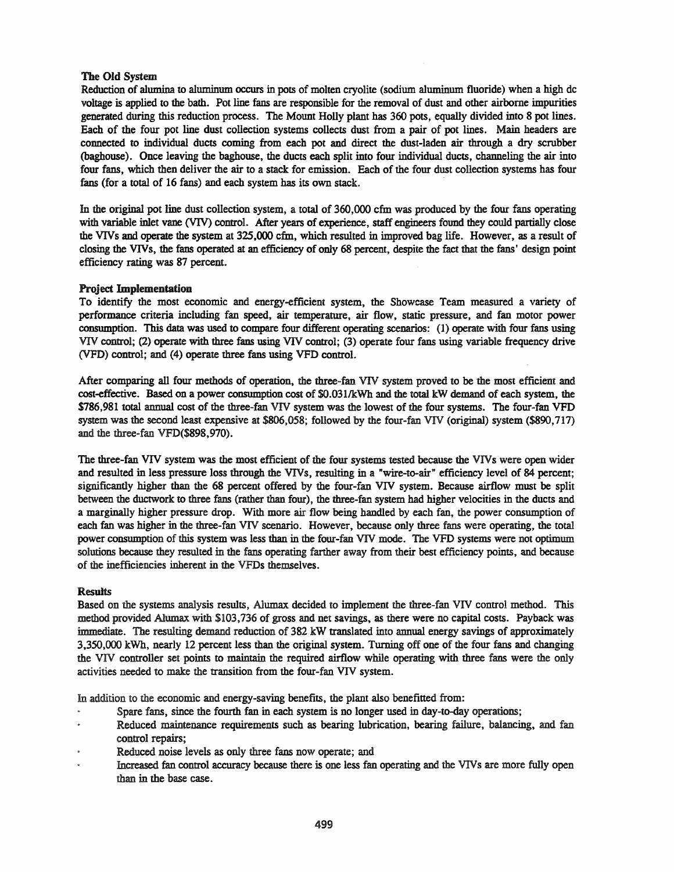# The Old System

Reduction of alumina to aluminum occurs in pots of molten cryolite (sodium aluminum fluoride) when a high dc voltage is applied to the bath. Pot line fans are responsible for the removal of dust and other airborne impurities generated during this reduction process. The Mount Holly plant has 360 pots, equally divided into 8 pot lines. Each of the four pot line dust collection systems collects dust from a pair of pot lines. Main headers are connected to individual ducts coming from each pot and direct the dust-laden air through a dry scrubber (baghouse). Once leaving the baghouse, the ducts each split into four individual ducts, channeling the air into four fans, which then deliver the air to a stack for emission. Each of the four dust collection systems has four fans (for a total of 16 fans) and each system has its own stack.

In the original pot line dust collection system, a total of 360,000 cfm was produced by the four fans operating with variable inlet vane (VIV) control. After years of experience, staff engineers found they could partially close the VIVs and operate the system at 325,000 cfm, which resulted in improved bag life. However, as a result of closing the VIVs, the fans operated at an efficiency of only 68 percent, despite the fact that the fans' design point efficiency rating was 87 percent.

# Project Implementation

To identify the most economic and energy-efficient system, the Showcase Team measured a variety of performance criteria including fan speed, air temperature, air flow, static pressure, and fan motor power consumption. This data was used to compare four different operating scenarios: (1) operate with four fans using VIV control; (2) operate with three fans using VIV control; (3) operate four fans using variable frequency drive (VFD) control; and (4) operate three fans using VFD control.

After comparing all four methods of operation, the three-fan VIV system proved to be the most efficient and cost-effective. Based on a power consumption cost of \$O.031/kWh and the total kW demand of each system, the \$786,981 total annual cost of the three-fan VIV system was the lowest of the four systems. The four-fan VFD system was the second least expensive at \$806,058; followed by the four-fan VIV (original) system (\$890,717) and the three-fan VFD(\$898,970).

The three-fan VIV system was the most efficient of the four systems tested because the VIVs were open wider and resulted in less pressure loss through the VIVs, resulting in a "wire-to-air" efficiency level of 84 percent; significantly higher than the 68 percent offered by the four-fan VIV system. Because airflow must be split between the ductwork to three fans (rather than four), the three-fan system had higher velocities in the ducts and a marginally higher pressure drop. With more air flow being handled by each fan, the power consumption of each fan was higher in the three-fan VIV scenario. However, because only three fans were operating, the total power consumption of this system was less than in the four-fan VIV mode. The VFD systems were not optimum solutions because they resulted in the fans operating farther away from their best efficiency points, and because of the inefficiencies inherent in the VFDs themselves.

### **Results**

Based on the systems analysis results, Alumax decided to implement the three-fan VIV control method. This method provided Alumax with \$103,736 of gross and net savings, as there were no capital costs. Payback was immediate. The resulting demand reduction of 382 kW translated into annual energy savings of approximately 3,350,000 kWh, nearly 12 percent less than the original system. Turning off one of the four fans and changing the VIV controller set points to maintain the required airflow while operating with three fans were the only activities needed to make the transition from the four-fan VIV system.

In addition to the economic and energy-saving benefits, the plant also benefitted from:

- Spare fans, since the fourth fan in each system is no longer used in day-to-day operations;
- Reduced maintenance requirements such as bearing lubrication, bearing failure, balancing, and fan control repairs;
- Reduced noise levels as only three fans now operate; and
- Increased fan control accuracy because there is one less fan operating and the VIVs are more fully open than in the base case.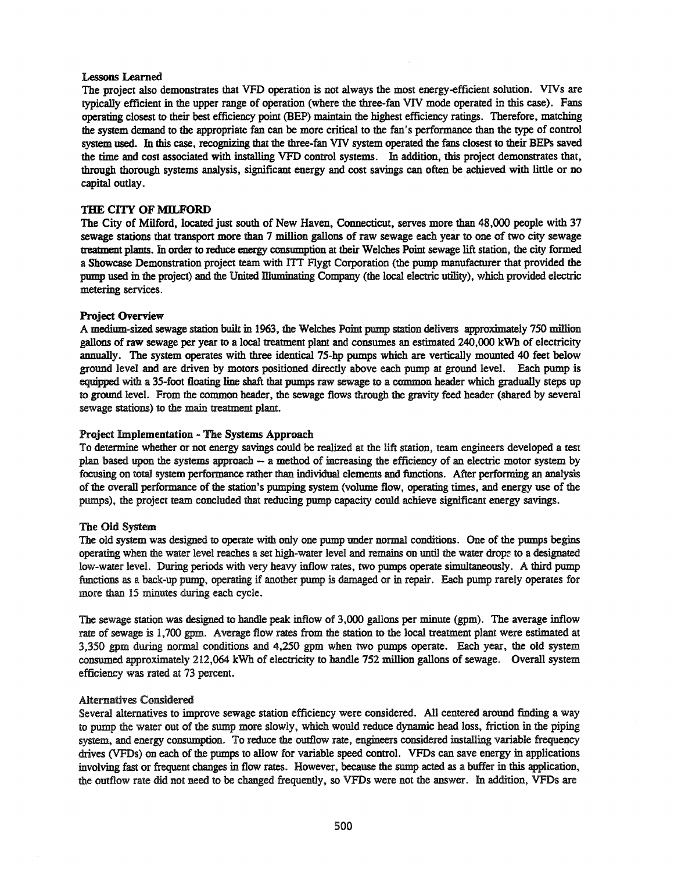#### Lessons Learned

The project also demonstrates that VFD operation is not always the most energy-efficient solution. VIVs are typically efficient in the upper range of operation (where the three-fan VIV mode operated in this case). Fans operating closest to their best efficiency point (BEP) maintain the highest efficiency ratings. Therefore. matching the system demand to the appropriate fan can be more critical to the fan's performance than the type of control system used. In this case, recognizing that the three-fan VIV system operated the fans closest to their BEPs saved the time and cost associated with installing VFD control systems. In addition, this project demonstrates that. through thorough systems analysis. significant energy and cost savings can often be achieved with little or no capital outlay.

#### THE CITY **OF MILFORD**

The City of Milford. located just south of New Haven. Connecticut. serves more than 48.000 people with 37 sewage stations that transport more than 7 million gallons of raw sewage each year to one of two city sewage treatment plants. In order to reduce energy consumption at their Welches Point sewage lift station, the city formed a Showcase Demonstration project team with ITI Flygt Corporation (the pump manufacturer that provided the pump used in the project) and the United Illuminating Company (the local electric utility), which provided electric metering services.

#### Project Overview

A medium-sized sewage station built in 1963. the Welches Point pump station delivers approximately 750 million gallons of raw sewage per year to a local treatment plant and consumes an estimated 240,000 kWh of electricity annually. The system operates with three identical 75-hp pumps which are vertically mounted 40 feet below ground level and are driven by motors positioned directly above each pump at ground level. Each pump is equipped with a 35-foot floating line shaft that pumps raw sewage to a common header which gradually steps up to ground level. From the common header, the sewage flows through the gravity feed header (shared by several sewage stations) to the main treatment plant.

#### Project Implementation - The Systems Approach

To determine whether or not energy savings could be realized at the lift station. team engineers developed a test plan based upon the systems approach  $-$  a method of increasing the efficiency of an electric motor system by focusing on total system performance rather than individual elements and ftmctions. After performing an analysis of the overall performance of the station's pumping system (volume flow, operating times. and energy use of the pumps). the project team concluded that reducing pump capacity could achieve significant energy savings.

#### The Old System

The old system was designed to operate with only one pump under normal conditions. One of the pumps begins operating when the water level reaches a set high-water level and remains on until the water drop:: to a designated low-water level. During periods with very heavy inflow rates. two pumps operate simultaneously. A third pump functions as a back-up pump, operating if another pump is damaged or in repair. Each pump rarely operates for more than 15 minutes during each cycle.

The sewage station was designed to handle peak inflow of 3,000 gallons per minute (gpm). The average inflow rate of sewage is 1.700 gpm. Average flow rates from the station to the local treatment plant were estimated at 3.350 gpm during normal conditions and 4.250 gpm when two pumps operate. Each year. the old system consumed approximately 212,064 kWh of electricity to handle 752 million gallons of sewage. Overall system efficiency was rated at 73 percent.

#### Alternatives Considered

Several alternatives to improve sewage station efficiency were considered. All centered around finding a way to pump the water out of the sump more slowly. which would reduce dynamic head loss, friction in the piping system, and energy consumption. To reduce the outflow rate, engineers considered installing variable frequency drives (VFDs) on each of the pumps to allow for variable speed control. VFDs can save energy in applications involving fast or frequent changes in flow rates. However, because the sump acted as a buffer in this application. the outflow rate did not need to be changed frequently. so VFDs were not the answer. In addition, VFDs are